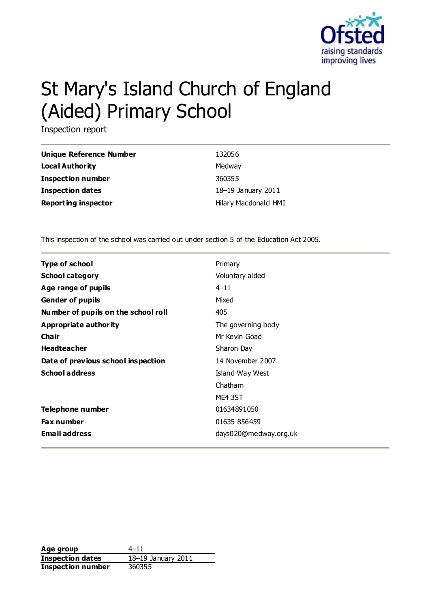

# St Mary's Island Church of England (Aided) Primary School

Inspection report

| <b>Unique Reference Number</b> | 132056               |
|--------------------------------|----------------------|
| <b>Local Authority</b>         | Medway               |
| Inspection number              | 360355               |
| <b>Inspection dates</b>        | 18-19 January 2011   |
| <b>Reporting inspector</b>     | Hilary Macdonald HMI |

This inspection of the school was carried out under section 5 of the Education Act 2005.

| <b>Type of school</b>               | Primary               |
|-------------------------------------|-----------------------|
| <b>School category</b>              | Voluntary aided       |
| Age range of pupils                 | $4 - 11$              |
| <b>Gender of pupils</b>             | Mixed                 |
| Number of pupils on the school roll | 405                   |
| Appropriate authority               | The governing body    |
| Cha ir                              | Mr Kevin Goad         |
| <b>Headteacher</b>                  | Sharon Day            |
| Date of previous school inspection  | 14 November 2007      |
| <b>School address</b>               | Island Way West       |
|                                     | Chatham               |
|                                     | ME4 3ST               |
| Telephone number                    | 01634891050           |
| <b>Fax number</b>                   | 01635 856459          |
| <b>Email address</b>                | days020@medway.org.uk |

Age group  $4-11$ **Inspection dates** 18–19 January 2011 **Inspection number** 360355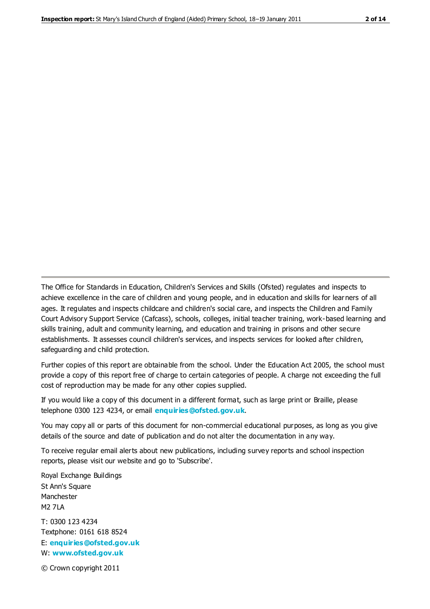The Office for Standards in Education, Children's Services and Skills (Ofsted) regulates and inspects to achieve excellence in the care of children and young people, and in education and skills for learners of all ages. It regulates and inspects childcare and children's social care, and inspects the Children and Family Court Advisory Support Service (Cafcass), schools, colleges, initial teacher training, work-based learning and skills training, adult and community learning, and education and training in prisons and other secure establishments. It assesses council children's services, and inspects services for looked after children, safeguarding and child protection.

Further copies of this report are obtainable from the school. Under the Education Act 2005, the school must provide a copy of this report free of charge to certain categories of people. A charge not exceeding the full cost of reproduction may be made for any other copies supplied.

If you would like a copy of this document in a different format, such as large print or Braille, please telephone 0300 123 4234, or email **[enquiries@ofsted.gov.uk](mailto:enquiries@ofsted.gov.uk)**.

You may copy all or parts of this document for non-commercial educational purposes, as long as you give details of the source and date of publication and do not alter the documentation in any way.

To receive regular email alerts about new publications, including survey reports and school inspection reports, please visit our website and go to 'Subscribe'.

Royal Exchange Buildings St Ann's Square Manchester M2 7LA T: 0300 123 4234 Textphone: 0161 618 8524 E: **[enquiries@ofsted.gov.uk](mailto:enquiries@ofsted.gov.uk)**

W: **[www.ofsted.gov.uk](http://www.ofsted.gov.uk/)**

© Crown copyright 2011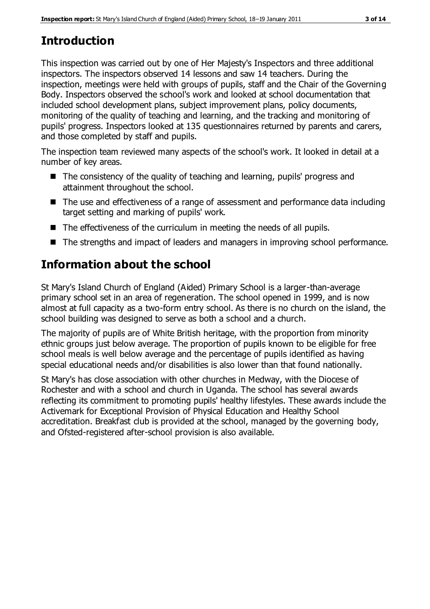# **Introduction**

This inspection was carried out by one of Her Majesty's Inspectors and three additional inspectors. The inspectors observed 14 lessons and saw 14 teachers. During the inspection, meetings were held with groups of pupils, staff and the Chair of the Governing Body. Inspectors observed the school's work and looked at school documentation that included school development plans, subject improvement plans, policy documents, monitoring of the quality of teaching and learning, and the tracking and monitoring of pupils' progress. Inspectors looked at 135 questionnaires returned by parents and carers, and those completed by staff and pupils.

The inspection team reviewed many aspects of the school's work. It looked in detail at a number of key areas.

- The consistency of the quality of teaching and learning, pupils' progress and attainment throughout the school.
- The use and effectiveness of a range of assessment and performance data including target setting and marking of pupils' work.
- The effectiveness of the curriculum in meeting the needs of all pupils.
- The strengths and impact of leaders and managers in improving school performance.

# **Information about the school**

St Mary's Island Church of England (Aided) Primary School is a larger-than-average primary school set in an area of regeneration. The school opened in 1999, and is now almost at full capacity as a two-form entry school. As there is no church on the island, the school building was designed to serve as both a school and a church.

The majority of pupils are of White British heritage, with the proportion from minority ethnic groups just below average. The proportion of pupils known to be eligible for free school meals is well below average and the percentage of pupils identified as having special educational needs and/or disabilities is also lower than that found nationally.

St Mary's has close association with other churches in Medway, with the Diocese of Rochester and with a school and church in Uganda. The school has several awards reflecting its commitment to promoting pupils' healthy lifestyles. These awards include the Activemark for Exceptional Provision of Physical Education and Healthy School accreditation. Breakfast club is provided at the school, managed by the governing body, and Ofsted-registered after-school provision is also available.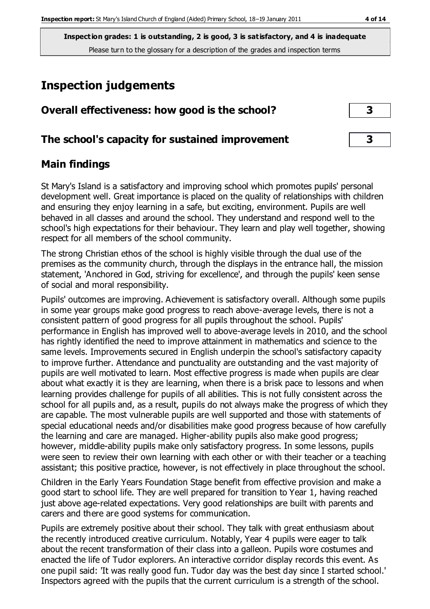# **Inspection judgements**

| Overall effectiveness. How you is the school: |  |  |
|-----------------------------------------------|--|--|
|                                               |  |  |

**Overall effectiveness: how good is the school? 3**

#### **The school's capacity for sustained improvement 3**

#### **Main findings**

St Mary's Island is a satisfactory and improving school which promotes pupils' personal development well. Great importance is placed on the quality of relationships with children and ensuring they enjoy learning in a safe, but exciting, environment. Pupils are well behaved in all classes and around the school. They understand and respond well to the school's high expectations for their behaviour. They learn and play well together, showing respect for all members of the school community.

The strong Christian ethos of the school is highly visible through the dual use of the premises as the community church, through the displays in the entrance hall, the mission statement, 'Anchored in God, striving for excellence', and through the pupils' keen sense of social and moral responsibility.

Pupils' outcomes are improving. Achievement is satisfactory overall. Although some pupils in some year groups make good progress to reach above-average levels, there is not a consistent pattern of good progress for all pupils throughout the school. Pupils' performance in English has improved well to above-average levels in 2010, and the school has rightly identified the need to improve attainment in mathematics and science to the same levels. Improvements secured in English underpin the school's satisfactory capacity to improve further. Attendance and punctuality are outstanding and the vast majority of pupils are well motivated to learn. Most effective progress is made when pupils are clear about what exactly it is they are learning, when there is a brisk pace to lessons and when learning provides challenge for pupils of all abilities. This is not fully consistent across the school for all pupils and, as a result, pupils do not always make the progress of which they are capable. The most vulnerable pupils are well supported and those with statements of special educational needs and/or disabilities make good progress because of how carefully the learning and care are managed. Higher-ability pupils also make good progress; however, middle-ability pupils make only satisfactory progress. In some lessons, pupils were seen to review their own learning with each other or with their teacher or a teaching assistant; this positive practice, however, is not effectively in place throughout the school.

Children in the Early Years Foundation Stage benefit from effective provision and make a good start to school life. They are well prepared for transition to Year 1, having reached just above age-related expectations. Very good relationships are built with parents and carers and there are good systems for communication.

Pupils are extremely positive about their school. They talk with great enthusiasm about the recently introduced creative curriculum. Notably, Year 4 pupils were eager to talk about the recent transformation of their class into a galleon. Pupils wore costumes and enacted the life of Tudor explorers. An interactive corridor display records this event. As one pupil said: 'It was really good fun. Tudor day was the best day since I started school.' Inspectors agreed with the pupils that the current curriculum is a strength of the school.

| 3 |  |
|---|--|
|   |  |
| R |  |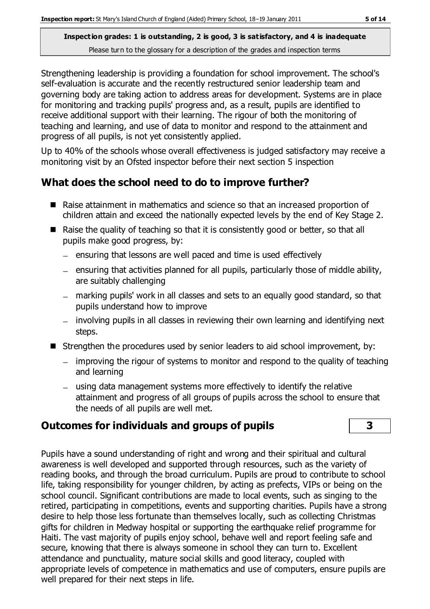Strengthening leadership is providing a foundation for school improvement. The school's self-evaluation is accurate and the recently restructured senior leadership team and governing body are taking action to address areas for development. Systems are in place for monitoring and tracking pupils' progress and, as a result, pupils are identified to receive additional support with their learning. The rigour of both the monitoring of teaching and learning, and use of data to monitor and respond to the attainment and progress of all pupils, is not yet consistently applied.

Up to 40% of the schools whose overall effectiveness is judged satisfactory may receive a monitoring visit by an Ofsted inspector before their next section 5 inspection

# **What does the school need to do to improve further?**

- Raise attainment in mathematics and science so that an increased proportion of children attain and exceed the nationally expected levels by the end of Key Stage 2.
- Raise the quality of teaching so that it is consistently good or better, so that all pupils make good progress, by:
	- $-$  ensuring that lessons are well paced and time is used effectively
	- $-$  ensuring that activities planned for all pupils, particularly those of middle ability, are suitably challenging
	- marking pupils' work in all classes and sets to an equally good standard, so that pupils understand how to improve
	- involving pupils in all classes in reviewing their own learning and identifying next steps.
- Strengthen the procedures used by senior leaders to aid school improvement, by:
	- improving the rigour of systems to monitor and respond to the quality of teaching and learning
	- using data management systems more effectively to identify the relative attainment and progress of all groups of pupils across the school to ensure that the needs of all pupils are well met.

# **Outcomes for individuals and groups of pupils 3**

Pupils have a sound understanding of right and wrong and their spiritual and cultural awareness is well developed and supported through resources, such as the variety of reading books, and through the broad curriculum. Pupils are proud to contribute to school life, taking responsibility for younger children, by acting as prefects, VIPs or being on the school council. Significant contributions are made to local events, such as singing to the retired, participating in competitions, events and supporting charities. Pupils have a strong desire to help those less fortunate than themselves locally, such as collecting Christmas gifts for children in Medway hospital or supporting the earthquake relief programme for Haiti. The vast majority of pupils enjoy school, behave well and report feeling safe and secure, knowing that there is always someone in school they can turn to. Excellent attendance and punctuality, mature social skills and good literacy, coupled with appropriate levels of competence in mathematics and use of computers, ensure pupils are well prepared for their next steps in life.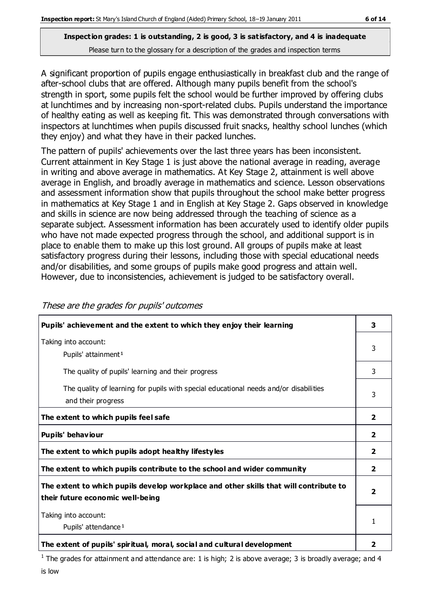A significant proportion of pupils engage enthusiastically in breakfast club and the range of after-school clubs that are offered. Although many pupils benefit from the school's strength in sport, some pupils felt the school would be further improved by offering clubs at lunchtimes and by increasing non-sport-related clubs. Pupils understand the importance of healthy eating as well as keeping fit. This was demonstrated through conversations with inspectors at lunchtimes when pupils discussed fruit snacks, healthy school lunches (which they enjoy) and what they have in their packed lunches.

The pattern of pupils' achievements over the last three years has been inconsistent. Current attainment in Key Stage 1 is just above the national average in reading, average in writing and above average in mathematics. At Key Stage 2, attainment is well above average in English, and broadly average in mathematics and science. Lesson observations and assessment information show that pupils throughout the school make better progress in mathematics at Key Stage 1 and in English at Key Stage 2. Gaps observed in knowledge and skills in science are now being addressed through the teaching of science as a separate subject. Assessment information has been accurately used to identify older pupils who have not made expected progress through the school, and additional support is in place to enable them to make up this lost ground. All groups of pupils make at least satisfactory progress during their lessons, including those with special educational needs and/or disabilities, and some groups of pupils make good progress and attain well. However, due to inconsistencies, achievement is judged to be satisfactory overall.

| Pupils' achievement and the extent to which they enjoy their learning                                                     | 3                       |
|---------------------------------------------------------------------------------------------------------------------------|-------------------------|
| Taking into account:<br>Pupils' attainment <sup>1</sup>                                                                   | 3                       |
| The quality of pupils' learning and their progress                                                                        | 3                       |
| The quality of learning for pupils with special educational needs and/or disabilities<br>and their progress               | 3                       |
| The extent to which pupils feel safe                                                                                      | $\overline{\mathbf{2}}$ |
| Pupils' behaviour                                                                                                         | 2                       |
| The extent to which pupils adopt healthy lifestyles                                                                       | $\overline{\mathbf{2}}$ |
| The extent to which pupils contribute to the school and wider community                                                   | $\overline{2}$          |
| The extent to which pupils develop workplace and other skills that will contribute to<br>their future economic well-being | $\overline{\mathbf{2}}$ |
| Taking into account:<br>Pupils' attendance <sup>1</sup>                                                                   | 1                       |
| The extent of pupils' spiritual, moral, social and cultural development                                                   | 2                       |

These are the grades for pupils' outcomes

<sup>1</sup> The grades for attainment and attendance are: 1 is high; 2 is above average; 3 is broadly average; and 4 is low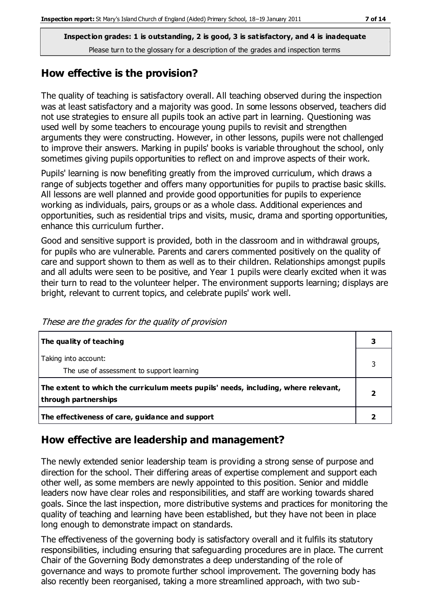#### **How effective is the provision?**

The quality of teaching is satisfactory overall. All teaching observed during the inspection was at least satisfactory and a majority was good. In some lessons observed, teachers did not use strategies to ensure all pupils took an active part in learning. Questioning was used well by some teachers to encourage young pupils to revisit and strengthen arguments they were constructing. However, in other lessons, pupils were not challenged to improve their answers. Marking in pupils' books is variable throughout the school, only sometimes giving pupils opportunities to reflect on and improve aspects of their work.

Pupils' learning is now benefiting greatly from the improved curriculum, which draws a range of subjects together and offers many opportunities for pupils to practise basic skills. All lessons are well planned and provide good opportunities for pupils to experience working as individuals, pairs, groups or as a whole class. Additional experiences and opportunities, such as residential trips and visits, music, drama and sporting opportunities, enhance this curriculum further.

Good and sensitive support is provided, both in the classroom and in withdrawal groups, for pupils who are vulnerable. Parents and carers commented positively on the quality of care and support shown to them as well as to their children. Relationships amongst pupils and all adults were seen to be positive, and Year 1 pupils were clearly excited when it was their turn to read to the volunteer helper. The environment supports learning; displays are bright, relevant to current topics, and celebrate pupils' work well.

| The quality of teaching                                                                                    |  |
|------------------------------------------------------------------------------------------------------------|--|
| Taking into account:<br>The use of assessment to support learning                                          |  |
| The extent to which the curriculum meets pupils' needs, including, where relevant,<br>through partnerships |  |
| The effectiveness of care, guidance and support                                                            |  |

These are the grades for the quality of provision

#### **How effective are leadership and management?**

The newly extended senior leadership team is providing a strong sense of purpose and direction for the school. Their differing areas of expertise complement and support each other well, as some members are newly appointed to this position. Senior and middle leaders now have clear roles and responsibilities, and staff are working towards shared goals. Since the last inspection, more distributive systems and practices for monitoring the quality of teaching and learning have been established, but they have not been in place long enough to demonstrate impact on standards.

The effectiveness of the governing body is satisfactory overall and it fulfils its statutory responsibilities, including ensuring that safeguarding procedures are in place. The current Chair of the Governing Body demonstrates a deep understanding of the role of governance and ways to promote further school improvement. The governing body has also recently been reorganised, taking a more streamlined approach, with two sub-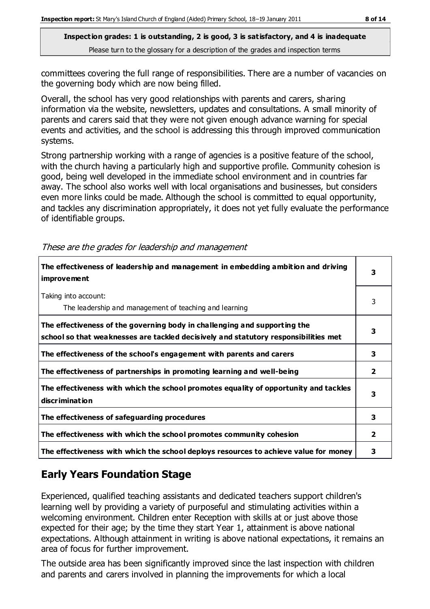committees covering the full range of responsibilities. There are a number of vacancies on the governing body which are now being filled.

Overall, the school has very good relationships with parents and carers, sharing information via the website, newsletters, updates and consultations. A small minority of parents and carers said that they were not given enough advance warning for special events and activities, and the school is addressing this through improved communication systems.

Strong partnership working with a range of agencies is a positive feature of the school, with the church having a particularly high and supportive profile. Community cohesion is good, being well developed in the immediate school environment and in countries far away. The school also works well with local organisations and businesses, but considers even more links could be made. Although the school is committed to equal opportunity, and tackles any discrimination appropriately, it does not yet fully evaluate the performance of identifiable groups.

| The effectiveness of leadership and management in embedding ambition and driving<br><i>improvement</i>                                                           | з            |
|------------------------------------------------------------------------------------------------------------------------------------------------------------------|--------------|
| Taking into account:<br>The leadership and management of teaching and learning                                                                                   | 3            |
| The effectiveness of the governing body in challenging and supporting the<br>school so that weaknesses are tackled decisively and statutory responsibilities met | 3            |
| The effectiveness of the school's engagement with parents and carers                                                                                             | 3            |
| The effectiveness of partnerships in promoting learning and well-being                                                                                           | 2            |
| The effectiveness with which the school promotes equality of opportunity and tackles<br>discrimination                                                           | 3            |
| The effectiveness of safeguarding procedures                                                                                                                     | 3            |
| The effectiveness with which the school promotes community cohesion                                                                                              | $\mathbf{2}$ |
| The effectiveness with which the school deploys resources to achieve value for money                                                                             | 3            |

These are the grades for leadership and management

### **Early Years Foundation Stage**

Experienced, qualified teaching assistants and dedicated teachers support children's learning well by providing a variety of purposeful and stimulating activities within a welcoming environment. Children enter Reception with skills at or just above those expected for their age; by the time they start Year 1, attainment is above national expectations. Although attainment in writing is above national expectations, it remains an area of focus for further improvement.

The outside area has been significantly improved since the last inspection with children and parents and carers involved in planning the improvements for which a local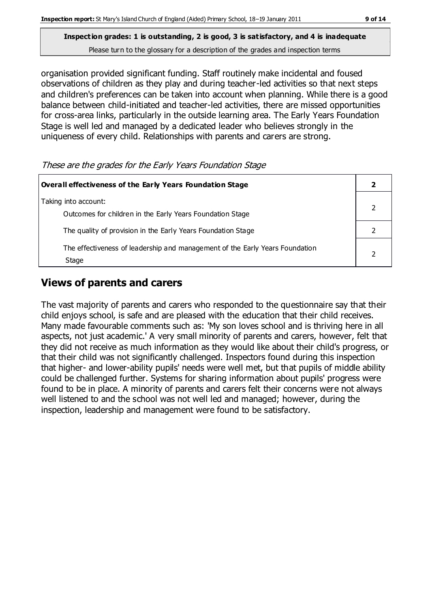organisation provided significant funding. Staff routinely make incidental and foused observations of children as they play and during teacher-led activities so that next steps and children's preferences can be taken into account when planning. While there is a good balance between child-initiated and teacher-led activities, there are missed opportunities for cross-area links, particularly in the outside learning area. The Early Years Foundation Stage is well led and managed by a dedicated leader who believes strongly in the uniqueness of every child. Relationships with parents and carers are strong.

These are the grades for the Early Years Foundation Stage

| Overall effectiveness of the Early Years Foundation Stage                             |  |
|---------------------------------------------------------------------------------------|--|
| Taking into account:<br>Outcomes for children in the Early Years Foundation Stage     |  |
| The quality of provision in the Early Years Foundation Stage                          |  |
| The effectiveness of leadership and management of the Early Years Foundation<br>Stage |  |

### **Views of parents and carers**

The vast majority of parents and carers who responded to the questionnaire say that their child enjoys school, is safe and are pleased with the education that their child receives. Many made favourable comments such as: 'My son loves school and is thriving here in all aspects, not just academic.' A very small minority of parents and carers, however, felt that they did not receive as much information as they would like about their child's progress, or that their child was not significantly challenged. Inspectors found during this inspection that higher- and lower-ability pupils' needs were well met, but that pupils of middle ability could be challenged further. Systems for sharing information about pupils' progress were found to be in place. A minority of parents and carers felt their concerns were not always well listened to and the school was not well led and managed; however, during the inspection, leadership and management were found to be satisfactory.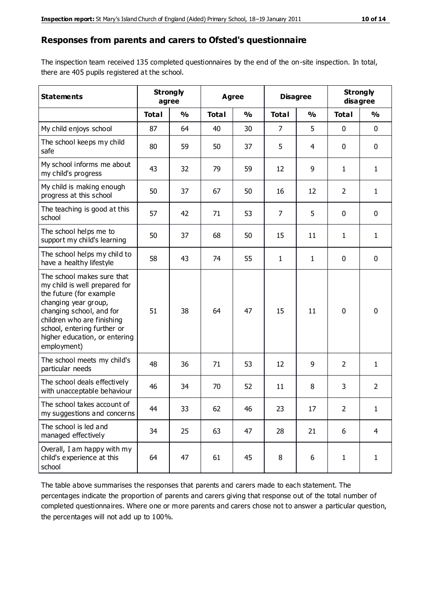#### **Responses from parents and carers to Ofsted's questionnaire**

The inspection team received 135 completed questionnaires by the end of the on-site inspection. In total, there are 405 pupils registered at the school.

| <b>Statements</b>                                                                                                                                                                                                                                       | <b>Strongly</b><br>agree |               |              | Agree         |                | <b>Disagree</b> |                | <b>Strongly</b><br>disagree |
|---------------------------------------------------------------------------------------------------------------------------------------------------------------------------------------------------------------------------------------------------------|--------------------------|---------------|--------------|---------------|----------------|-----------------|----------------|-----------------------------|
|                                                                                                                                                                                                                                                         | <b>Total</b>             | $\frac{0}{0}$ | <b>Total</b> | $\frac{0}{0}$ | <b>Total</b>   | $\frac{0}{0}$   | <b>Total</b>   | $\frac{0}{0}$               |
| My child enjoys school                                                                                                                                                                                                                                  | 87                       | 64            | 40           | 30            | $\overline{7}$ | 5               | $\mathbf 0$    | $\mathbf 0$                 |
| The school keeps my child<br>safe                                                                                                                                                                                                                       | 80                       | 59            | 50           | 37            | 5              | 4               | $\mathbf 0$    | $\pmb{0}$                   |
| My school informs me about<br>my child's progress                                                                                                                                                                                                       | 43                       | 32            | 79           | 59            | 12             | 9               | $\mathbf{1}$   | $\mathbf{1}$                |
| My child is making enough<br>progress at this school                                                                                                                                                                                                    | 50                       | 37            | 67           | 50            | 16             | 12              | $\overline{2}$ | 1                           |
| The teaching is good at this<br>school                                                                                                                                                                                                                  | 57                       | 42            | 71           | 53            | $\overline{7}$ | 5               | $\mathbf 0$    | $\mathbf 0$                 |
| The school helps me to<br>support my child's learning                                                                                                                                                                                                   | 50                       | 37            | 68           | 50            | 15             | 11              | $\mathbf{1}$   | $\mathbf{1}$                |
| The school helps my child to<br>have a healthy lifestyle                                                                                                                                                                                                | 58                       | 43            | 74           | 55            | $\mathbf{1}$   | 1               | $\mathbf 0$    | $\pmb{0}$                   |
| The school makes sure that<br>my child is well prepared for<br>the future (for example<br>changing year group,<br>changing school, and for<br>children who are finishing<br>school, entering further or<br>higher education, or entering<br>employment) | 51                       | 38            | 64           | 47            | 15             | 11              | $\mathbf 0$    | $\mathbf 0$                 |
| The school meets my child's<br>particular needs                                                                                                                                                                                                         | 48                       | 36            | 71           | 53            | 12             | 9               | 2              | $\mathbf{1}$                |
| The school deals effectively<br>with unacceptable behaviour                                                                                                                                                                                             | 46                       | 34            | 70           | 52            | 11             | 8               | 3              | $\overline{2}$              |
| The school takes account of<br>my suggestions and concerns                                                                                                                                                                                              | 44                       | 33            | 62           | 46            | 23             | 17              | 2              | 1                           |
| The school is led and<br>managed effectively                                                                                                                                                                                                            | 34                       | 25            | 63           | 47            | 28             | 21              | 6              | $\overline{4}$              |
| Overall, I am happy with my<br>child's experience at this<br>school                                                                                                                                                                                     | 64                       | 47            | 61           | 45            | 8              | 6               | $\mathbf{1}$   | $\mathbf{1}$                |

The table above summarises the responses that parents and carers made to each statement. The percentages indicate the proportion of parents and carers giving that response out of the total number of completed questionnaires. Where one or more parents and carers chose not to answer a particular question, the percentages will not add up to 100%.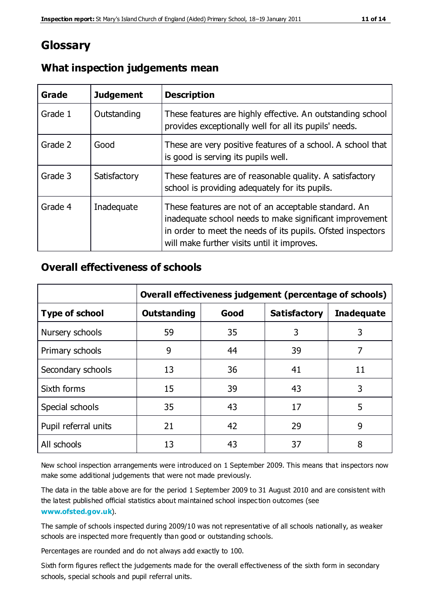## **Glossary**

| Grade   | <b>Judgement</b> | <b>Description</b>                                                                                                                                                                                                            |
|---------|------------------|-------------------------------------------------------------------------------------------------------------------------------------------------------------------------------------------------------------------------------|
| Grade 1 | Outstanding      | These features are highly effective. An outstanding school<br>provides exceptionally well for all its pupils' needs.                                                                                                          |
| Grade 2 | Good             | These are very positive features of a school. A school that<br>is good is serving its pupils well.                                                                                                                            |
| Grade 3 | Satisfactory     | These features are of reasonable quality. A satisfactory<br>school is providing adequately for its pupils.                                                                                                                    |
| Grade 4 | Inadequate       | These features are not of an acceptable standard. An<br>inadequate school needs to make significant improvement<br>in order to meet the needs of its pupils. Ofsted inspectors<br>will make further visits until it improves. |

#### **What inspection judgements mean**

#### **Overall effectiveness of schools**

|                       | Overall effectiveness judgement (percentage of schools) |      |                     |                   |
|-----------------------|---------------------------------------------------------|------|---------------------|-------------------|
| <b>Type of school</b> | <b>Outstanding</b>                                      | Good | <b>Satisfactory</b> | <b>Inadequate</b> |
| Nursery schools       | 59                                                      | 35   | 3                   | 3                 |
| Primary schools       | 9                                                       | 44   | 39                  | 7                 |
| Secondary schools     | 13                                                      | 36   | 41                  | 11                |
| Sixth forms           | 15                                                      | 39   | 43                  | 3                 |
| Special schools       | 35                                                      | 43   | 17                  | 5                 |
| Pupil referral units  | 21                                                      | 42   | 29                  | 9                 |
| All schools           | 13                                                      | 43   | 37                  | 8                 |

New school inspection arrangements were introduced on 1 September 2009. This means that inspectors now make some additional judgements that were not made previously.

The data in the table above are for the period 1 September 2009 to 31 August 2010 and are consistent with the latest published official statistics about maintained school inspec tion outcomes (see **[www.ofsted.gov.uk](http://www.ofsted.gov.uk/)**).

The sample of schools inspected during 2009/10 was not representative of all schools nationally, as weaker schools are inspected more frequently than good or outstanding schools.

Percentages are rounded and do not always add exactly to 100.

Sixth form figures reflect the judgements made for the overall effectiveness of the sixth form in secondary schools, special schools and pupil referral units.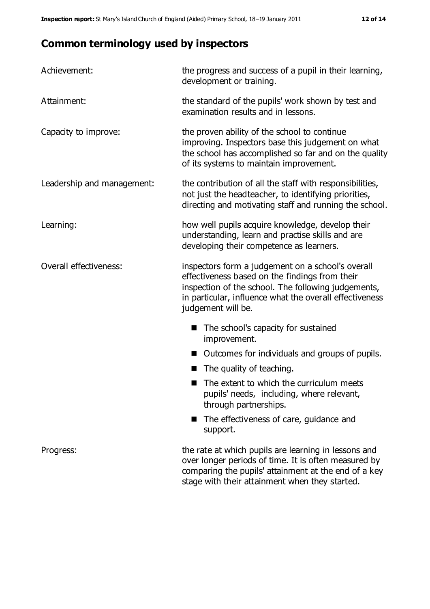# **Common terminology used by inspectors**

| Achievement:               | the progress and success of a pupil in their learning,<br>development or training.                                                                                                                                                          |  |  |
|----------------------------|---------------------------------------------------------------------------------------------------------------------------------------------------------------------------------------------------------------------------------------------|--|--|
| Attainment:                | the standard of the pupils' work shown by test and<br>examination results and in lessons.                                                                                                                                                   |  |  |
| Capacity to improve:       | the proven ability of the school to continue<br>improving. Inspectors base this judgement on what<br>the school has accomplished so far and on the quality<br>of its systems to maintain improvement.                                       |  |  |
| Leadership and management: | the contribution of all the staff with responsibilities,<br>not just the headteacher, to identifying priorities,<br>directing and motivating staff and running the school.                                                                  |  |  |
| Learning:                  | how well pupils acquire knowledge, develop their<br>understanding, learn and practise skills and are<br>developing their competence as learners.                                                                                            |  |  |
| Overall effectiveness:     | inspectors form a judgement on a school's overall<br>effectiveness based on the findings from their<br>inspection of the school. The following judgements,<br>in particular, influence what the overall effectiveness<br>judgement will be. |  |  |
|                            | The school's capacity for sustained<br>improvement.                                                                                                                                                                                         |  |  |
|                            | Outcomes for individuals and groups of pupils.                                                                                                                                                                                              |  |  |
|                            | The quality of teaching.                                                                                                                                                                                                                    |  |  |
|                            | The extent to which the curriculum meets<br>pupils' needs, including, where relevant,<br>through partnerships.                                                                                                                              |  |  |
|                            | The effectiveness of care, guidance and<br>support.                                                                                                                                                                                         |  |  |
| Progress:                  | the rate at which pupils are learning in lessons and<br>over longer periods of time. It is often measured by<br>comparing the pupils' attainment at the end of a key                                                                        |  |  |

stage with their attainment when they started.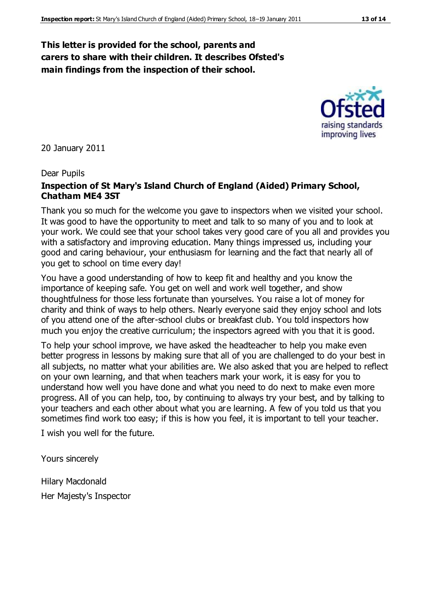#### **This letter is provided for the school, parents and carers to share with their children. It describes Ofsted's main findings from the inspection of their school.**

20 January 2011

#### Dear Pupils

#### **Inspection of St Mary's Island Church of England (Aided) Primary School, Chatham ME4 3ST**

Thank you so much for the welcome you gave to inspectors when we visited your school. It was good to have the opportunity to meet and talk to so many of you and to look at your work. We could see that your school takes very good care of you all and provides you with a satisfactory and improving education. Many things impressed us, including your good and caring behaviour, your enthusiasm for learning and the fact that nearly all of you get to school on time every day!

You have a good understanding of how to keep fit and healthy and you know the importance of keeping safe. You get on well and work well together, and show thoughtfulness for those less fortunate than yourselves. You raise a lot of money for charity and think of ways to help others. Nearly everyone said they enjoy school and lots of you attend one of the after-school clubs or breakfast club. You told inspectors how much you enjoy the creative curriculum; the inspectors agreed with you that it is good.

To help your school improve, we have asked the headteacher to help you make even better progress in lessons by making sure that all of you are challenged to do your best in all subjects, no matter what your abilities are. We also asked that you are helped to reflect on your own learning, and that when teachers mark your work, it is easy for you to understand how well you have done and what you need to do next to make even more progress. All of you can help, too, by continuing to always try your best, and by talking to your teachers and each other about what you are learning. A few of you told us that you sometimes find work too easy; if this is how you feel, it is important to tell your teacher.

I wish you well for the future.

Yours sincerely

Hilary Macdonald Her Majesty's Inspector